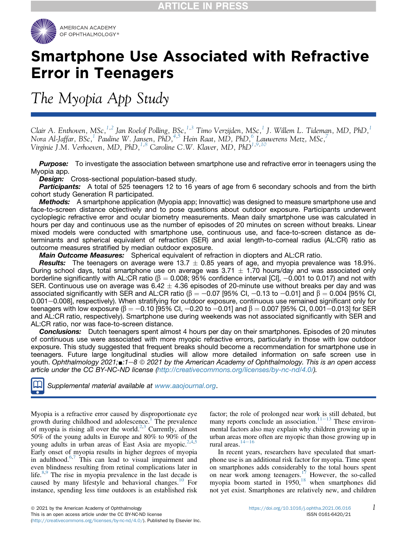

# Smartphone Use Associated with Refractive Error in Teenagers

The Myopia App Study

Clair A. Enthoven, MSc, $^{1,2}$  $^{1,2}$  $^{1,2}$  $^{1,2}$  Jan Roelof Polling, BSc, $^{1,3}$  $^{1,3}$  $^{1,3}$  Timo Verzijden, MSc, $^1$  J. Willem L. Tideman, MD, PhD, $^1$ Nora Al-Jaffar, BSc, $^1$  $^1$  Pauline W. Jansen, PhD, $^{4,5}$  $^{4,5}$  $^{4,5}$  $^{4,5}$  $^{4,5}$  Hein Raat, MD, PhD, $^6$  $^6$  Lauwerens Metz, MSc, $^7$  $^7$ Virginie J.M. Verhoeven, MD, PhD, <sup>[1](#page-6-0)[,8](#page-6-7)</sup> Caroline C.W. Klaver, MD, PhD<sup>1,[9](#page-6-8),[10](#page-6-9)</sup>

Purpose: To investigate the association between smartphone use and refractive error in teenagers using the Myopia app.

**Design:** Cross-sectional population-based study.

**Participants:** A total of 525 teenagers 12 to 16 years of age from 6 secondary schools and from the birth cohort study Generation R participated.

Methods: A smartphone application (Myopia app; Innovattic) was designed to measure smartphone use and face-to-screen distance objectively and to pose questions about outdoor exposure. Participants underwent cycloplegic refractive error and ocular biometry measurements. Mean daily smartphone use was calculated in hours per day and continuous use as the number of episodes of 20 minutes on screen without breaks. Linear mixed models were conducted with smartphone use, continuous use, and face-to-screen distance as determinants and spherical equivalent of refraction (SER) and axial length-to-corneal radius (AL:CR) ratio as outcome measures stratified by median outdoor exposure.

Main Outcome Measures: Spherical equivalent of refraction in diopters and AL:CR ratio.

**Results:** The teenagers on average were 13.7  $\pm$  0.85 years of age, and myopia prevalence was 18.9%. During school days, total smartphone use on average was 3.71  $\pm$  1.70 hours/day and was associated only borderline significantly with AL:CR ratio ( $\beta = 0.008$ ; 95% confidence interval [CI], -0.001 to 0.017) and not with SER. Continuous use on average was  $6.42 \pm 4.36$  episodes of 20-minute use without breaks per day and was associated significantly with SER and AL:CR ratio ( $\beta = -0.07$  [95% CI,  $-0.13$  to  $-0.01$ ] and  $\beta = 0.004$  [95% CI, 0.001-0.008], respectively). When stratifying for outdoor exposure, continuous use remained significant only for teenagers with low exposure ( $\beta = -0.10$  [95% CI,  $-0.20$  to  $-0.01$ ] and  $\beta = 0.007$  [95% CI, 0.001 $-0.013$ ] for SER and AL:CR ratio, respectively). Smartphone use during weekends was not associated significantly with SER and AL:CR ratio, nor was face-to-screen distance.

**Conclusions:** Dutch teenagers spent almost 4 hours per day on their smartphones. Episodes of 20 minutes of continuous use were associated with more myopic refractive errors, particularly in those with low outdoor exposure. This study suggested that frequent breaks should become a recommendation for smartphone use in teenagers. Future large longitudinal studies will allow more detailed information on safe screen use in youth. Ophthalmology 2021; $\blacksquare:1-8 \odot 2021$  by the American Academy of Ophthalmology. This is an open access article under the CC BY-NC-ND license [\(http://creativecommons.org/licenses/by-nc-nd/4.0/\)](http://creativecommons.org/licenses/by-nc-nd/4.0/).

Supplemental material available at [www.aaojournal.org](<ce:italic>www.aaojournal.org</ce:italic>).

Myopia is a refractive error caused by disproportionate eye growth during childhood and adolescence.<sup>[1](#page-6-10)</sup> The prevalence of myopia is rising all over the world.<sup>[2](#page-6-11)[,3](#page-6-12)</sup> Currently, almost 50% of the young adults in Europe and 80% to 90% of the young adults in urban areas of East Asia are myopic.<sup>[2](#page-6-11)[,4,](#page-6-13)[5](#page-7-0)</sup> Early onset of myopia results in higher degrees of myopia in adulthood.[6](#page-7-1)[,7](#page-7-2) This can lead to visual impairment and even blindness resulting from retinal complications later in life. $8,9$  $8,9$  The rise in myopia prevalence in the last decade is caused by many lifestyle and behavioral changes.<sup>[10](#page-7-5)</sup> For instance, spending less time outdoors is an established risk

factor; the role of prolonged near work is still debated, but many reports conclude an association.<sup>[11](#page-7-6)-[13](#page-7-6)</sup> These environmental factors also may explain why children growing up in urban areas more often are myopic than those growing up in rural areas. $14-16$  $14-16$  $14-16$ 

In recent years, researchers have speculated that smartphone use is an additional risk factor for myopia. Time spent on smartphones adds considerably to the total hours spent on near work among teenagers.<sup>[17](#page-7-8)</sup> However, the so-called myopia boom started in  $1950$ ,<sup>[18](#page-7-9)</sup> when smartphones did not yet exist. Smartphones are relatively new, and children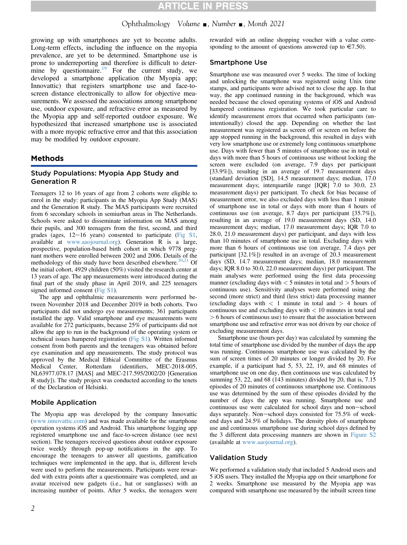# Ophthalmology Volume  $\blacksquare$ , Number  $\blacksquare$ , Month 2021

growing up with smartphones are yet to become adults. Long-term effects, including the influence on the myopia prevalence, are yet to be determined. Smartphone use is prone to underreporting and therefore is difficult to deter-mine by questionnaire.<sup>[19](#page-7-10)</sup> For the current study, we developed a smartphone application (the Myopia app; Innovattic) that registers smartphone use and face-toscreen distance electronically to allow for objective measurements. We assessed the associations among smartphone use, outdoor exposure, and refractive error as measured by the Myopia app and self-reported outdoor exposure. We hypothesized that increased smartphone use is associated with a more myopic refractive error and that this association may be modified by outdoor exposure.

# Methods

# Study Populations: Myopia App Study and Generation R

Teenagers 12 to 16 years of age from 2 cohorts were eligible to enrol in the study: participants in the Myopia App Study (MAS) and the Generation R study. The MAS participants were recruited from 6 secondary schools in semiurban areas in The Netherlands. Schools were asked to disseminate information on MAS among their pupils, and 300 teenagers from the first, second, and third grades (ages,  $12-16$  years) consented to participate ([Fig S1](#page-7-11), available at [www.aaojournal.org](http://www.aaojournal.org)). Generation R is a large, prospective, population-based birth cohort in which 9778 pregnant mothers were enrolled between 2002 and 2006. Details of the methodology of this study have been described elsewhere.<sup>[20,](#page-7-12)[21](#page-7-13)</sup> Of the initial cohort, 4929 children (50%) visited the research center at 13 years of age. The app measurements were introduced during the final part of the study phase in April 2019, and 225 teenagers signed informed consent [\(Fig S1](#page-7-11)).

The app and ophthalmic measurements were performed between November 2018 and December 2019 in both cohorts. Two participants did not undergo eye measurements; 361 participants installed the app. Valid smartphone and eye measurements were available for 272 participants, because 25% of participants did not allow the app to run in the background of the operating system or technical issues hampered registration [\(Fig S1\)](#page-7-11). Written informed consent from both parents and the teenagers was obtained before eye examination and app measurements. The study protocol was approved by the Medical Ethical Committee of the Erasmus Medical Center, Rotterdam (identifiers, MEC-2018-005, NL63977.078.17 [MAS] and MEC-217.595/2002/20 [Generation R study]). The study project was conducted according to the tenets of the Declaration of Helsinki.

### Mobile Application

The Myopia app was developed by the company Innovattic [\(www.innovattic.com\)](http://www.innovattic.com) and was made available for the smartphone operation systems iOS and Android. This smartphone logging app registered smartphone use and face-to-screen distance (see next section). The teenagers received questions about outdoor exposure twice weekly through pop-up notifications in the app. To encourage the teenagers to answer all questions, gamification techniques were implemented in the app, that is, different levels were used to perform the measurements. Participants were rewarded with extra points after a questionnaire was completed, and an avatar received new gadgets (i.e., hat or sunglasses) with an increasing number of points. After 5 weeks, the teenagers were rewarded with an online shopping voucher with a value corresponding to the amount of questions answered (up to  $\in 7.50$ ).

### Smartphone Use

Smartphone use was measured over 5 weeks. The time of locking and unlocking the smartphone was registered using Unix time stamps, and participants were advised not to close the app. In that way, the app continued running in the background, which was needed because the closed operating systems of iOS and Android hampered continuous registration. We took particular care to identify measurement errors that occurred when participants (unintentionally) closed the app. Depending on whether the last measurement was registered as screen off or screen on before the app stopped running in the background, this resulted in days with very low smartphone use or extremely long continuous smartphone use. Days with fewer than 5 minutes of smartphone use in total or days with more than 5 hours of continuous use without locking the screen were excluded (on average, 7.9 days per participant [33.9%]), resulting in an average of 19.7 measurement days (standard deviation [SD], 14.5 measurement days; median, 17.0 measurement days; interquartile range [IQR] 7.0 to 30.0, 23 measurement days) per participant. To check for bias because of measurement error, we also excluded days with less than 1 minute of smartphone use in total or days with more than 4 hours of continuous use (on average, 8.7 days per participant [35.7%]), resulting in an average of 19.0 measurement days (SD, 14.0 measurement days; median, 17.0 measurement days; IQR 7.0 to 28.0, 21.0 measurement days) per participant, and days with less than 10 minutes of smartphone use in total. Excluding days with more than 6 hours of continuous use (on average, 7.4 days per participant [32.1%]) resulted in an average of 20.3 measurement days (SD, 14.7 measurement days; median, 18.0 measurement days; IQR 8.0 to 30.0, 22.0 measurement days) per participant. The main analyses were performed using the first data processing manner (excluding days with  $<$  5 minutes in total and  $>$  5 hours of continuous use). Sensitivity analyses were performed using the second (more strict) and third (less strict) data processing manner (excluding days with  $\langle$  1 minute in total and  $\rangle$  4 hours of continuous use and excluding days with  $< 10$  minutes in total and > 6 hours of continuous use) to ensure that the association between smartphone use and refractive error was not driven by our choice of excluding measurement days.

Smartphone use (hours per day) was calculated by summing the total time of smartphone use divided by the number of days the app was running. Continuous smartphone use was calculated by the sum of screen times of 20 minutes or longer divided by 20. For example, if a participant had 5, 53, 22, 19, and 68 minutes of smartphone use on one day, then continuous use was calculated by summing 53, 22, and 68 (143 minutes) divided by 20, that is, 7.15 episodes of 20 minutes of continuous smartphone use. Continuous use was determined by the sum of these episodes divided by the number of days the app was running. Smartphone use and continuous use were calculated for school days and non-school days separately. Non-school days consisted for  $75.5\%$  of weekend days and 24.5% of holidays. The density plots of smartphone use and continuous smartphone use during school days defined by the 3 different data processing manners are shown in [Figure S2](#page-7-11) (available at [www.aaojournal.org\)](http://www.aaojournal.org).

### Validation Study

We performed a validation study that included 5 Android users and 5 iOS users. They installed the Myopia app on their smartphone for 2 weeks. Smartphone use measured by the Myopia app was compared with smartphone use measured by the inbuilt screen time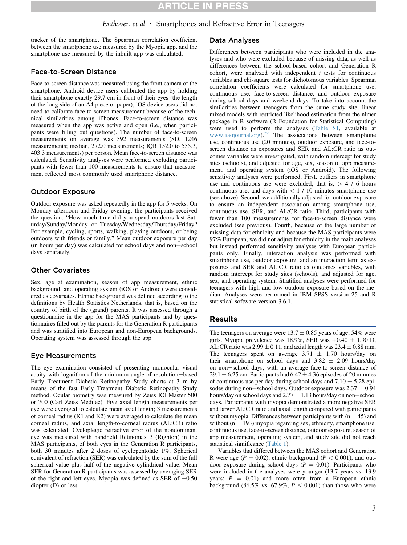# Enthoven et al • Smartphones and Refractive Error in Teenagers

tracker of the smartphone. The Spearman correlation coefficient between the smartphone use measured by the Myopia app, and the smartphone use measured by the inbuilt app was calculated.

### Face-to-Screen Distance

Face-to-screen distance was measured using the front camera of the smartphone. Android device users calibrated the app by holding their smartphone exactly 29.7 cm in front of their eyes (the length of the long side of an A4 piece of paper); iOS device users did not need to calibrate face-to-screen measurement because of the technical similarities among iPhones. Face-to-screen distance was measured when the app was active and open (i.e., when participants were filling out questions). The number of face-to-screen measurements on average was 592 measurements (SD, 1246 measurements; median, 272.0 measurements; IQR 152.0 to 555.3, 403.3 measurements) per person. Mean face-to-screen distance was calculated. Sensitivity analyses were performed excluding participants with fewer than 100 measurements to ensure that measurement reflected most commonly used smartphone distance.

### Outdoor Exposure

Outdoor exposure was asked repeatedly in the app for 5 weeks. On Monday afternoon and Friday evening, the participants received the question: "How much time did you spend outdoors last Saturday/Sunday/Monday or Tuesday/Wednesday/Thursday/Friday? For example, cycling, sports, walking, playing outdoors, or being outdoors with friends or family." Mean outdoor exposure per day (in hours per day) was calculated for school days and non-school days separately.

### Other Covariates

Sex, age at examination, season of app measurement, ethnic background, and operating system (iOS or Android) were considered as covariates. Ethnic background was defined according to the definitions by Health Statistics Netherlands, that is, based on the country of birth of the (grand) parents. It was assessed through a questionnaire in the app for the MAS participants and by questionnaires filled out by the parents for the Generation R participants and was stratified into European and non-European backgrounds. Operating system was assessed through the app.

### Eye Measurements

The eye examination consisted of presenting monocular visual acuity with logarithm of the minimum angle of resolution-based Early Treatment Diabetic Retinopathy Study charts at 3 m by means of the fast Early Treatment Diabetic Retinopathy Study method. Ocular biometry was measured by Zeiss IOLMaster 500 or 700 (Carl Zeiss Meditec). Five axial length measurements per eye were averaged to calculate mean axial length; 3 measurements of corneal radius (K1 and K2) were averaged to calculate the mean corneal radius, and axial length-to-corneal radius (AL:CR) ratio was calculated. Cycloplegic refractive error of the nondominant eye was measured with handheld Retinomax 3 (Righton) in the MAS participants, of both eyes in the Generation R participants, both 30 minutes after 2 doses of cyclopentolate 1%. Spherical equivalent of refraction (SER) was calculated by the sum of the full spherical value plus half of the negative cylindrical value. Mean SER for Generation R participants was assessed by averaging SER of the right and left eyes. Myopia was defined as SER of  $-0.50$ diopter (D) or less.

### Data Analyses

Differences between participants who were included in the analyses and who were excluded because of missing data, as well as differences between the school-based cohort and Generation R cohort, were analyzed with independent  $t$  tests for continuous variables and chi-square tests for dichotomous variables. Spearman correlation coefficients were calculated for smartphone use, continuous use, face-to-screen distance, and outdoor exposure during school days and weekend days. To take into account the similarities between teenagers from the same study site, linear mixed models with restricted likelihood estimation from the nlmer package in R software (R Foundation for Statistical Computing) were used to perform the analyses ([Table S1,](#page-7-11) available at [www.aaojournal.org\)](http://www.aaojournal.org).<sup>[22](#page-7-14)</sup> The associations between smartphone use, continuous use (20 minutes), outdoor exposure, and face-toscreen distance as exposures and SER and AL:CR ratio as outcomes variables were investigated, with random intercept for study sites (schools), and adjusted for age, sex, season of app measurement, and operating system (iOS or Android). The following sensitivity analyses were performed. First, outliers in smartphone use and continuous use were excluded, that is,  $> 4 / 6$  hours continuous use, and days with  $< 1 / 10$  minutes smartphone use (see above). Second, we additionally adjusted for outdoor exposure to ensure an independent association among smartphone use, continuous use, SER, and AL:CR ratio. Third, participants with fewer than 100 measurements for face-to-screen distance were excluded (see previous). Fourth, because of the large number of missing data for ethnicity and because the MAS participants were 97% European, we did not adjust for ethnicity in the main analyses but instead performed sensitivity analyses with European participants only. Finally, interaction analysis was performed with smartphone use, outdoor exposure, and an interaction term as exposures and SER and AL:CR ratio as outcomes variables, with random intercept for study sites (schools), and adjusted for age, sex, and operating system. Stratified analyses were performed for teenagers with high and low outdoor exposure based on the median. Analyses were performed in IBM SPSS version 25 and R statistical software version 3.6.1.

### Results

The teenagers on average were  $13.7 \pm 0.85$  years of age; 54% were girls. Myopia prevalence was 18.9%, SER was  $+0.40 \pm 1.90$  D, AL:CR ratio was  $2.99 \pm 0.11$ , and axial length was  $23.4 \pm 0.88$  mm. The teenagers spent on average  $3.71 \pm 1.70$  hours/day on their smartphone on school days and  $3.82 \pm 2.09$  hours/day on non-school days, with an average face-to-screen distance of 29.1  $\pm$  6.25 cm. Participants had 6.42  $\pm$  4.36 episodes of 20 minutes of continuous use per day during school days and  $7.10 \pm 5.28$  episodes during non-school days. Outdoor exposure was  $2.37 \pm 0.94$ hours/day on school days and  $2.77 \pm 1.13$  hours/day on non-school days. Participants with myopia demonstrated a more negative SER and larger AL:CR ratio and axial length compared with participants without myopia. Differences between participants with  $(n = 45)$  and without ( $n = 193$ ) myopia regarding sex, ethnicity, smartphone use, continuous use, face-to-screen distance, outdoor exposure, season of app measurement, operating system, and study site did not reach statistical significance ([Table 1\)](#page-3-0).

Variables that differed between the MAS cohort and Generation R were age ( $P = 0.02$ ), ethnic background ( $P < 0.001$ ), and outdoor exposure during school days ( $P = 0.01$ ). Participants who were included in the analyses were younger (13.7 years vs. 13.9 years;  $P = 0.01$ ) and more often from a European ethnic background (86.5% vs. 67.9%;  $P \leq 0.001$ ) than those who were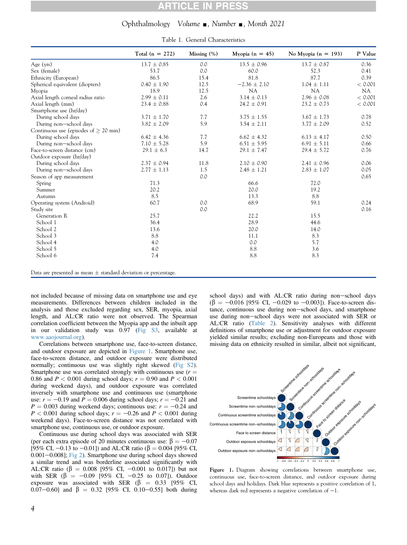## Ophthalmology Volume  $\Box$ , Number  $\Box$ , Month 2021

<span id="page-3-0"></span>

|                                         | Total $(n = 272)$ | Missing $(\%)$ | Myopia $(n = 45)$ | No Myopia ( $n = 193$ ) | P Value |
|-----------------------------------------|-------------------|----------------|-------------------|-------------------------|---------|
| Age $(yrs)$                             | $13.7 \pm 0.85$   | 0.0            | $13.5 \pm 0.96$   | $13.7 \pm 0.87$         | 0.36    |
| Sex (female)                            | 53.7              | 0.0            | 60.0              | 52.3                    | 0.41    |
| Ethnicity (European)                    | 86.5              | 15.4           | 81.8              | 87.7                    | 0.39    |
| Spherical equivalent (diopters)         | $0.40 \pm 1.90$   | 12.5           | $-2.36 \pm 2.10$  | $1.04 \pm 1.11$         | < 0.001 |
| Myopia                                  | 18.9              | 12.5           | <b>NA</b>         | <b>NA</b>               | NA.     |
| Axial length corneal radius ratio       | $2.99 \pm 0.11$   | 2.6            | $3.14 \pm 0.13$   | $2.96 \pm 0.08$         | < 0.001 |
| Axial length (mm)                       | $23.4 \pm 0.88$   | 0.4            | $24.2 \pm 0.91$   | $23.2 \pm 0.73$         | < 0.001 |
| Smartphone use (hr/day)                 |                   |                |                   |                         |         |
| During school days                      | $3.71 \pm 1.70$   | 7.7            | $3.75 \pm 1.55$   | $3.67 \pm 1.73$         | 0.78    |
| During non-school days                  | $3.82 \pm 2.09$   | 5.9            | $3.54 \pm 2.11$   | $3.77 \pm 2.09$         | 0.52    |
| Continuous use (episodes of $> 20$ min) |                   |                |                   |                         |         |
| During school days                      | $6.42 \pm 4.36$   | 7.7            | $6.62 \pm 4.32$   | $6.13 \pm 4.17$         | 0.50    |
| During non-school days                  | $7.10 \pm 5.28$   | 5.9            | $6.51 \pm 5.95$   | $6.91 \pm 5.11$         | 0.66    |
| Face-to-screen distance (cm)            | $29.1 \pm 6.3$    | 14.7           | $29.1 \pm 7.47$   | $29.4 \pm 5.72$         | 0.76    |
| Outdoor exposure (hr/day)               |                   |                |                   |                         |         |
| During school days                      | $2.37 \pm 0.94$   | 11.8           | $2.10 \pm 0.90$   | $2.41 \pm 0.96$         | 0.06    |
| During non-school days                  | $2.77 \pm 1.13$   | 1.5            | $2.48 \pm 1.21$   | $2.83 \pm 1.07$         | 0.05    |
| Season of app measurement               |                   | 0.0            |                   |                         | 0.65    |
| Spring                                  | 71.3              |                | 66.6              | 72.0                    |         |
| Summer                                  | 20.2              |                | 20.0              | 19.2                    |         |
| Autumn                                  | 8.5               |                | 13.3              | 8.8                     |         |
| Operating system (Android)              | 60.7              | 0.0            | 68.9              | 59.1                    | 0.24    |
| Study site                              |                   | 0.0            |                   |                         | 0.16    |
| Generation R                            | 25.7              |                | 22.2              | 15.5                    |         |
| School 1                                | 36.4              |                | 28.9              | 44.6                    |         |
| School 2                                | 13.6              |                | 20.0              | 14.0                    |         |
| School 3                                | 8.8               |                | 11.1              | 8.3                     |         |
| School 4                                | 4.0               |                | 0.0               | 5.7                     |         |
| School 5                                | 4.0               |                | 8.8               | 3.6                     |         |
| School 6                                | 7.4               |                | 8.8               | 8.3                     |         |

Table 1. General Characteristics

Data are presented as mean  $\pm$  standard deviation or percentage.

not included because of missing data on smartphone use and eye measurements. Differences between children included in the analysis and those excluded regarding sex, SER, myopia, axial length, and AL:CR ratio were not observed. The Spearman correlation coefficient between the Myopia app and the inbuilt app in our validation study was 0.97 ([Fig S3](#page-7-11), available at [www.aaojournal.org\)](http://www.aaojournal.org).

Correlations between smartphone use, face-to-screen distance, and outdoor exposure are depicted in [Figure 1](#page-3-1). Smartphone use, face-to-screen distance, and outdoor exposure were distributed normally; continuous use was slightly right skewed [\(Fig S2](#page-7-11)). Smartphone use was correlated strongly with continuous use  $(r =$ 0.86 and  $P < 0.001$  during school days;  $r = 0.90$  and  $P < 0.001$ during weekend days), and outdoor exposure was correlated inversely with smartphone use and continuous use (smartphone use:  $r = -0.19$  and  $P = 0.006$  during school days;  $r = -0.21$  and  $P = 0.003$  during weekend days; continuous use:  $r = -0.24$  and  $P < 0.001$  during school days;  $r = -0.26$  and  $P < 0.001$  during weekend days). Face-to-screen distance was not correlated with smartphone use, continuous use, or outdoor exposure.

Continuous use during school days was associated with SER (per each extra episode of 20 minutes continuous use:  $\beta = -0.07$ [95% CI, -0.13 to -0.01]) and AL:CR ratio ( $\beta$  = 0.004 [95% CI,  $0.001-0.008$ ]; [Fig 2](#page-4-0)). Smartphone use during school days showed a similar trend and was borderline associated significantly with AL:CR ratio ( $\beta = 0.008$  [95% CI, -0.001 to 0.017]) but not with SER ( $\beta = -0.09$  [95% CI, -0.25 to 0.07]). Outdoor exposure was associated with SER ( $\beta$  = 0.33 [95% CI, 0.07-0.60] and  $\beta = 0.32$  [95% CI, 0.10-0.55] both during

school days) and with AL:CR ratio during non-school days  $(\beta = -0.016$  [95% CI, -0.029 to -0.003]). Face-to-screen distance, continuous use during non-school days, and smartphone use during non-school days were not associated with SER or AL:CR ratio [\(Table 2\)](#page-4-1). Sensitivity analyses with different definitions of smartphone use or adjustment for outdoor exposure yielded similar results; excluding non-Europeans and those with missing data on ethnicity resulted in similar, albeit not significant,

<span id="page-3-1"></span>

Figure 1. Diagram showing correlations between smartphone use, continuous use, face-to-screen distance, and outdoor exposure during school days and holidays. Dark blue represents a positive correlation of 1, whereas dark red represents a negative correlation of  $-1$ .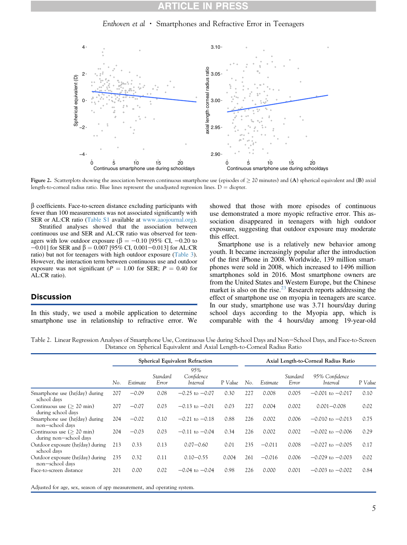# Enthoven et  $al \cdot$  Smartphones and Refractive Error in Teenagers

<span id="page-4-0"></span>

Figure 2. Scatterplots showing the association between continuous smartphone use (episodes of  $\geq$  20 minutes) and (A) spherical equivalent and (B) axial length-to-corneal radius ratio. Blue lines represent the unadjusted regression lines.  $D =$  diopter.

 $\beta$  coefficients. Face-to-screen distance excluding participants with fewer than 100 measurements was not associated significantly with SER or AL:CR ratio [\(Table S1](#page-7-11) available at [www.aaojournal.org](http://www.aaojournal.org)).

Stratified analyses showed that the association between continuous use and SER and AL:CR ratio was observed for teenagers with low outdoor exposure ( $\beta = -0.10$  [95% CI, -0.20 to  $-0.01$ ] for SER and  $\beta = 0.007$  [95% CI, 0.001-0.013] for AL:CR ratio) but not for teenagers with high outdoor exposure ([Table 3](#page-5-0)). However, the interaction term between continuous use and outdoor exposure was not significant ( $P = 1.00$  for SER;  $P = 0.40$  for AL:CR ratio).

# Discussion

In this study, we used a mobile application to determine smartphone use in relationship to refractive error. We showed that those with more episodes of continuous use demonstrated a more myopic refractive error. This association disappeared in teenagers with high outdoor exposure, suggesting that outdoor exposure may moderate this effect.

Smartphone use is a relatively new behavior among youth. It became increasingly popular after the introduction of the first iPhone in 2008. Worldwide, 139 million smartphones were sold in 2008, which increased to 1496 million smartphones sold in 2016. Most smartphone owners are from the United States and Western Europe, but the Chinese market is also on the rise.<sup>[23](#page-7-15)</sup> Research reports addressing the effect of smartphone use on myopia in teenagers are scarce. In our study, smartphone use was 3.71 hours/day during school days according to the Myopia app, which is comparable with the 4 hours/day among 19-year-old

<span id="page-4-1"></span>Table 2. Linear Regression Analyses of Smartphone Use, Continuous Use during School Days and Non-School Days, and Face-to-Screen Distance on Spherical Equivalent and Axial Length-to-Corneal Radius Ratio

|                                                       | <b>Spherical Equivalent Refraction</b> |          |                   |                               |         | Axial Length-to-Corneal Radius Ratio |          |                   |                            |         |
|-------------------------------------------------------|----------------------------------------|----------|-------------------|-------------------------------|---------|--------------------------------------|----------|-------------------|----------------------------|---------|
|                                                       | No.                                    | Estimate | Standard<br>Error | 95%<br>Confidence<br>Interval | P Value | No.                                  | Estimate | Standard<br>Error | 95% Confidence<br>Interval | P Value |
| Smartphone use (hr/day) during<br>school days         | 207                                    | $-0.09$  | 0.08              | $-0.25$ to $-0.07$            | 0.30    | 227                                  | 0.008    | 0.005             | $-0.001$ to $-0.017$       | 0.10    |
| Continuous use $(> 20$ min)<br>during school days     | 207                                    | $-0.07$  | 0.03              | $-0.13$ to $-0.01$            | 0.03    | 227                                  | 0.004    | 0.002             | $0.001 - 0.008$            | 0.02    |
| Smartphone use (hr/day) during<br>non-school days     | 204                                    | $-0.02$  | 0.10              | $-0.21$ to $-0.18$            | 0.88    | 226                                  | 0.002    | 0.006             | $-0.010$ to $-0.013$       | 0.75    |
| Continuous use $(> 20$ min)<br>during non-school days | 204                                    | $-0.03$  | 0.03              | $-0.11$ to $-0.04$            | 0.34    | 226                                  | 0.002    | 0.002             | $-0.002$ to $-0.006$       | 0.29    |
| Outdoor exposure (hr/day) during<br>school days       | 213                                    | 0.33     | 0.13              | $0.07 - 0.60$                 | 0.01    | 235                                  | $-0.011$ | 0.008             | $-0.027$ to $-0.005$       | 0.17    |
| Outdoor exposure (hr/day) during<br>non-school days   | 235                                    | 0.32     | 0.11              | $0.10 - 0.55$                 | 0.004   | 261                                  | $-0.016$ | 0.006             | $-0.029$ to $-0.003$       | 0.02    |
| Face-to-screen distance                               | 201                                    | 0.00     | 0.02              | $-0.04$ to $-0.04$            | 0.98    | 226                                  | 0.000    | 0.001             | $-0.003$ to $-0.002$       | 0.84    |

Adjusted for age, sex, season of app measurement, and operating system.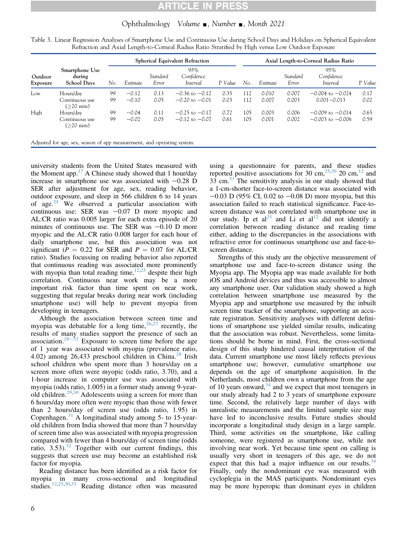# Ophthalmology Volume  $\Box$ , Number  $\Box$ , Month 2021

<span id="page-5-0"></span>

|  |                                                                                                    |  | Table 3. Linear Regression Analyses of Smartphone Use and Continuous Use during School Days and Holidays on Spherical Equivalent |
|--|----------------------------------------------------------------------------------------------------|--|----------------------------------------------------------------------------------------------------------------------------------|
|  | Refraction and Axial Length-to-Corneal Radius Ratio Stratified by High versus Low Outdoor Exposure |  |                                                                                                                                  |

|                     |                                                |     | <b>Spherical Equivalent Refraction</b> |                   |                               |         |     | Axial Length-to-Corneal Radius Ratio |                   |                                      |         |  |
|---------------------|------------------------------------------------|-----|----------------------------------------|-------------------|-------------------------------|---------|-----|--------------------------------------|-------------------|--------------------------------------|---------|--|
| Outdoor<br>Exposure | Smartphone Use<br>during<br><b>School Days</b> | No. | Estimate                               | Standard<br>Error | 95%<br>Confidence<br>Interval | P Value | No  | Estimate                             | Standard<br>Error | 95%<br>Confidence<br><i>Interval</i> | P Value |  |
| Low                 | Hours/day                                      | 99  | $-0.12$                                | 0.13              | $-0.36$ to $-0.12$            | 0.35    | 112 | 0.010                                | 0.007             | $-0.004$ to $-0.024$                 | 0.17    |  |
|                     | Continuous use<br>$( >20$ min)                 | 99  | $-0.10$                                | 0.05              | $-0.20$ to $-0.01$            | 0.03    | 112 | 0.007                                | 0.003             | $0.001 - 0.013$                      | 0.02    |  |
| High                | Hours/day                                      | 99  | $-0.04$                                | 0.11              | $-0.25$ to $-0.17$            | 0.72    | 105 | 0.003                                | 0.006             | $-0.009$ to $-0.014$                 | 0.65    |  |
|                     | Continuous use<br>$( >20$ min)                 | 99  | $-0.02$                                | 0.05              | $-0.12$ to $-0.07$            | 0.61    | 105 | 0.001                                | 0.002             | $-0.003$ to $-0.006$                 | 0.59    |  |

Adjusted for age, sex, season of app measurement, and operating system.

university students from the United States measured with the Moment app.<sup>[17](#page-7-8)</sup> A Chinese study showed that 1 hour/day increase in smartphone use was associated with  $-0.28$  D SER after adjustment for age, sex, reading behavior, outdoor exposure, and sleep in 566 children 6 to 14 years of age. $24$  We observed a particular association with continuous use: SER was  $-0.07$  D more myopic and AL:CR ratio was 0.005 larger for each extra episode of 20 minutes of continuous use. The SER was  $-0.10$  D more myopic and the AL:CR ratio 0.008 larger for each hour of daily smartphone use, but this association was not significant ( $P = 0.22$  for SER and  $P = 0.07$  for AL:CR ratio). Studies focussing on reading behavior also reported that continuous reading was associated more prominently with myopia than total reading time, $12,25$  $12,25$  despite their high correlation. Continuous near work may be a more important risk factor than time spent on near work, suggesting that regular breaks during near work (including smartphone use) will help to prevent myopia from developing in teenagers.

Although the association between screen time and myopia was debatable for a long time,  $26,27$  $26,27$  recently, the results of many studies support the presence of such an association.<sup>[28](#page-7-21)-[32](#page-7-21)</sup> Exposure to screen time before the age of 1 year was associated with myopia (prevalence ratio, 4.02) among 26,433 preschool children in China.<sup>[28](#page-7-21)</sup> Irish school children who spent more than 3 hours/day on a screen more often were myopic (odds ratio, 3.70), and a 1-hour increase in computer use was associated with myopia (odds ratio, 1.005) in a former study among 9-yearold children.[29,](#page-7-22)[30](#page-7-23) Adolescents using a screen for more than 6 hours/day more often were myopic than those with fewer than 2 hours/day of screen use (odds ratio, 1.95) in Copenhagen. $31$  A longitudinal study among 5- to 15-yearold children from India showed that more than 7 hours/day of screen time also was associated with myopia progression compared with fewer than 4 hours/day of screen time (odds ratio,  $3.53$ ).<sup>[32](#page-7-25)</sup> Together with our current findings, this suggests that screen use may become an established risk factor for myopia.

Reading distance has been identified as a risk factor for myopia in many cross-sectional and longitudinal studies.[12,](#page-7-17)[25](#page-7-18)[,30](#page-7-23)[,33](#page-7-26) Reading distance often was measured

using a questionnaire for parents, and these studies reported positive associations for 30 cm,<sup>[25](#page-7-18)[,30](#page-7-23)</sup> 20 cm,<sup>[12](#page-7-17)</sup> and [33](#page-7-26) cm. $^{33}$  The sensitivity analysis in our study showed that a 1-cm-shorter face-to-screen distance was associated with  $-0.03$  D (95% CI, 0.02 to  $-0.08$  D) more myopia, but this association failed to reach statistical significance. Face-toscreen distance was not correlated with smartphone use in our study. Ip et al<sup>[25](#page-7-18)</sup> and Li et al<sup>[12](#page-7-17)</sup> did not identify a correlation between reading distance and reading time either, adding to the discrepancies in the associations with refractive error for continuous smartphone use and face-toscreen distance.

Strengths of this study are the objective measurement of smartphone use and face-to-screen distance using the Myopia app. The Myopia app was made available for both iOS and Android devices and thus was accessible to almost any smartphone user. Our validation study showed a high correlation between smartphone use measured by the Myopia app and smartphone use measured by the inbuilt screen time tracker of the smartphone, supporting an accurate registration. Sensitivity analyses with different definitions of smartphone use yielded similar results, indicating that the association was robust. Nevertheless, some limitations should be borne in mind. First, the cross-sectional design of this study hindered causal interpretation of the data. Current smartphone use most likely reflects previous smartphone use; however, cumulative smartphone use depends on the age of smartphone acquisition. In the Netherlands, most children own a smartphone from the age of 10 years onward,  $34$  and we expect that most teenagers in our study already had 2 to 3 years of smartphone exposure time. Second, the relatively large number of days with unrealistic measurements and the limited sample size may have led to inconclusive results. Future studies should incorporate a longitudinal study design in a large sample. Third, some activities on the smartphone, like calling someone, were registered as smartphone use, while not involving near work. Yet because time spent on calling is usually very short in teenagers of this age, we do not expect that this had a major influence on our results.  $34$ Finally, only the nondominant eye was measured with cycloplegia in the MAS participants. Nondominant eyes may be more hyperopic than dominant eyes in children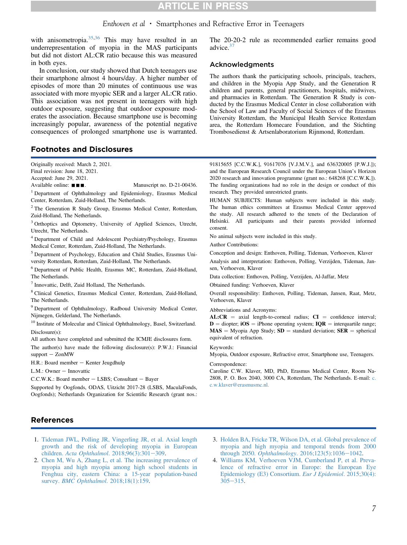# **RTICLE IN PRESS**

# Enthoven et al • Smartphones and Refractive Error in Teenagers

with anisometropia. $35,36$  $35,36$  This may have resulted in an underrepresentation of myopia in the MAS participants but did not distort AL:CR ratio because this was measured in both eyes.

In conclusion, our study showed that Dutch teenagers use their smartphone almost 4 hours/day. A higher number of episodes of more than 20 minutes of continuous use was associated with more myopic SER and a larger AL:CR ratio. This association was not present in teenagers with high outdoor exposure, suggesting that outdoor exposure moderates the association. Because smartphone use is becoming increasingly popular, awareness of the potential negative consequences of prolonged smartphone use is warranted.

# Footnotes and Disclosures

Originally received: March 2, 2021.

Final revision: June 18, 2021.

Accepted: June 29, 2021.

Available online:  $\blacksquare$ . Manuscript no. D-21-00436.

<span id="page-6-0"></span><sup>1</sup> Department of Ophthalmology and Epidemiology, Erasmus Medical Center, Rotterdam, Zuid-Holland, The Netherlands.

<span id="page-6-1"></span><sup>2</sup> The Generation R Study Group, Erasmus Medical Center, Rotterdam, Zuid-Holland, The Netherlands.

<span id="page-6-2"></span><sup>3</sup> Orthoptics and Optometry, University of Applied Sciences, Utrecht, Utrecht, The Netherlands.

<span id="page-6-3"></span><sup>4</sup> Department of Child and Adolescent Psychiatry/Psychology, Erasmus Medical Center, Rotterdam, Zuid-Holland, The Netherlands.

<span id="page-6-4"></span><sup>5</sup> Department of Psychology, Education and Child Studies, Erasmus University Rotterdam, Rotterdam, Zuid-Holland, The Netherlands.

<span id="page-6-5"></span><sup>6</sup> Department of Public Health, Erasmus MC, Rotterdam, Zuid-Holland, The Netherlands.

<span id="page-6-6"></span> $<sup>7</sup>$  Innovattic, Delft, Zuid Holland, The Netherlands.</sup>

<span id="page-6-7"></span><sup>8</sup> Clinical Genetics, Erasmus Medical Center, Rotterdam, Zuid-Holland, The Netherlands.

<span id="page-6-8"></span><sup>9</sup> Department of Ophthalmology, Radboud University Medical Center, Nijmegen, Gelderland, The Netherlands.

<span id="page-6-9"></span><sup>10</sup> Institute of Molecular and Clinical Ophthalmology, Basel, Switzerland. Disclosure(s):

All authors have completed and submitted the ICMJE disclosures form.

The author(s) have made the following disclosure(s): P.W.J.: Financial  $support - ZonMW$ 

H.R.: Board member - Kenter Jeugdhulp

L.M.: Owner - Innovattic

C.C.W.K.: Board member - LSBS; Consultant - Bayer

Supported by Oogfonds, ODAS, Uitzicht 2017-28 (LSBS, MaculaFonds, Oogfonds); Netherlands Organization for Scientific Research (grant nos.:

The 20-20-2 rule as recommended earlier remains good advice.<sup>[37](#page-7-30)</sup>

# Acknowledgments

The authors thank the participating schools, principals, teachers, and children in the Myopia App Study, and the Generation R children and parents, general practitioners, hospitals, midwives, and pharmacies in Rotterdam. The Generation R Study is conducted by the Erasmus Medical Center in close collaboration with the School of Law and Faculty of Social Sciences of the Erasmus University Rotterdam, the Municipal Health Service Rotterdam area, the Rotterdam Homecare Foundation, and the Stichting Trombosedienst & Artsenlaboratorium Rijnmond, Rotterdam.

91815655 [C.C.W.K.], 91617076 [V.J.M.V.], and 636320005 [P.W.J.]); and the European Research Council under the European Union's Horizon 2020 research and innovation programme (grant no.: 648268 [C.C.W.K.]). The funding organizations had no role in the design or conduct of this research. They provided unrestricted grants.

HUMAN SUBJECTS: Human subjects were included in this study. The human ethics committees at Erasmus Medical Center approved the study. All research adhered to the tenets of the Declaration of Helsinki. All participants and their parents provided informed consent.

No animal subjects were included in this study.

Author Contributions:

Conception and design: Enthoven, Polling, Tideman, Verhoeven, Klaver

Analysis and interpretation: Enthoven, Polling, Verzijden, Tideman, Jansen, Verhoeven, Klaver

Data collection: Enthoven, Polling, Verzijden, Al-Jaffar, Metz

Obtained funding: Verhoeven, Klaver

Overall responsibility: Enthoven, Polling, Tideman, Jansen, Raat, Metz, Verhoeven, Klaver

Abbreviations and Acronyms:

 $AL:CR = axial length-to-correal radius; CI = confidence interval;$  $D =$  diopter; iOS = iPhone operating system; IQR = interquartile range;  $MAS = Myopia$  App Study;  $SD = standard deviation$ ;  $SER = spherical$ equivalent of refraction.

Keywords:

Myopia, Outdoor exposure, Refractive error, Smartphone use, Teenagers.

Correspondence:

Caroline C.W. Klaver, MD, PhD, Erasmus Medical Center, Room Na-2808, P. O. Box 2040, 3000 CA, Rotterdam, The Netherlands. E-mail: [c.](mailto:c.c.w.klaver@erasmusmc.nl) [c.w.klaver@erasmusmc.nl.](mailto:c.c.w.klaver@erasmusmc.nl)

# References

- <span id="page-6-10"></span>1. [Tideman JWL, Polling JR, Vingerling JR, et al. Axial length](http://refhub.elsevier.com/S0161-6420(21)00518-2/sref1) [growth and the risk of developing myopia in European](http://refhub.elsevier.com/S0161-6420(21)00518-2/sref1) children. [Acta Ophthalmol](http://refhub.elsevier.com/S0161-6420(21)00518-2/sref1). 2018;96(3):301-[309.](http://refhub.elsevier.com/S0161-6420(21)00518-2/sref1)
- <span id="page-6-11"></span>2. [Chen M, Wu A, Zhang L, et al. The increasing prevalence of](http://refhub.elsevier.com/S0161-6420(21)00518-2/sref2) [myopia and high myopia among high school students in](http://refhub.elsevier.com/S0161-6420(21)00518-2/sref2) [Fenghua city, eastern China: a 15-year population-based](http://refhub.elsevier.com/S0161-6420(21)00518-2/sref2) survey. *[BMC Ophthalmol](http://refhub.elsevier.com/S0161-6420(21)00518-2/sref2).* 2018;18(1):159.
- <span id="page-6-12"></span>3. [Holden BA, Fricke TR, Wilson DA, et al. Global prevalence of](http://refhub.elsevier.com/S0161-6420(21)00518-2/sref3) [myopia and high myopia and temporal trends from 2000](http://refhub.elsevier.com/S0161-6420(21)00518-2/sref3) through 2050. Ophthalmology[. 2016;123\(5\):1036](http://refhub.elsevier.com/S0161-6420(21)00518-2/sref3)-[1042](http://refhub.elsevier.com/S0161-6420(21)00518-2/sref3).
- <span id="page-6-13"></span>4. [Williams KM, Verhoeven VJM, Cumberland P, et al. Preva](http://refhub.elsevier.com/S0161-6420(21)00518-2/sref4)[lence of refractive error in Europe: the European Eye](http://refhub.elsevier.com/S0161-6420(21)00518-2/sref4) [Epidemiology \(E3\) Consortium.](http://refhub.elsevier.com/S0161-6420(21)00518-2/sref4) Eur J Epidemiol. 2015;30(4):  $305 - 315$  $305 - 315$ .